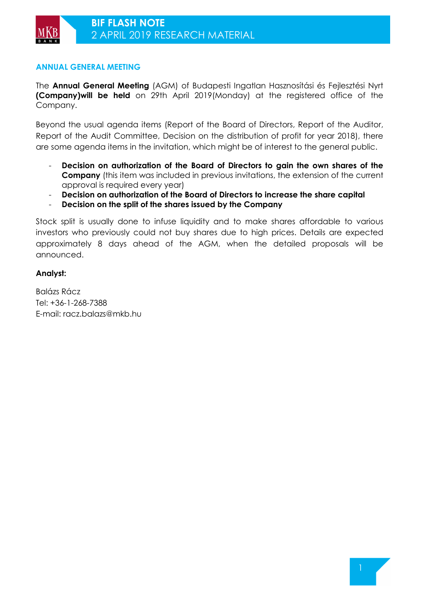## **ANNUAL GENERAL MEETING**

The **Annual General Meeting** (AGM) of Budapesti Ingatlan Hasznosítási és Fejlesztési Nyrt **(Company)will be held** on 29th April 2019(Monday) at the registered office of the Company.

Beyond the usual agenda items (Report of the Board of Directors, Report of the Auditor, Report of the Audit Committee, Decision on the distribution of profit for year 2018), there are some agenda items in the invitation, which might be of interest to the general public.

- **Decision on authorization of the Board of Directors to gain the own shares of the Company** (this item was included in previous invitations, the extension of the current approval is required every year)
- **Decision on authorization of the Board of Directors to increase the share capital**
- **Decision on the split of the shares issued by the Company**

Stock split is usually done to infuse liquidity and to make shares affordable to various investors who previously could not buy shares due to high prices. Details are expected approximately 8 days ahead of the AGM, when the detailed proposals will be announced.

## **Analyst:**

Balázs Rácz Tel: +36-1-268-7388 E-mail: racz.balazs@mkb.hu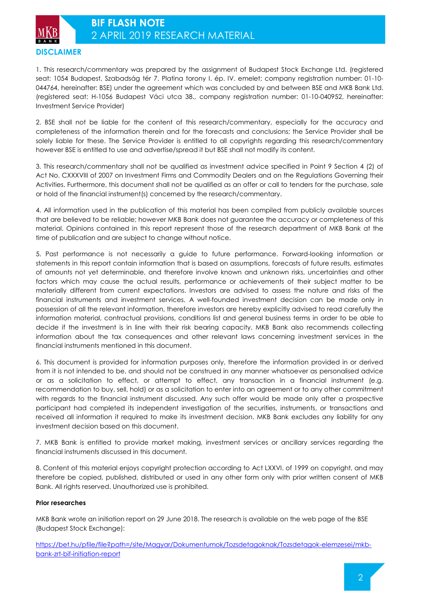1. This research/commentary was prepared by the assignment of Budapest Stock Exchange Ltd. (registered seat: 1054 Budapest, Szabadság tér 7. Platina torony I. ép. IV. emelet; company registration number: 01-10- 044764, hereinafter: BSE) under the agreement which was concluded by and between BSE and MKB Bank Ltd. (registered seat: H-1056 Budapest Váci utca 38., company registration number: 01-10-040952, hereinafter: Investment Service Provider)

2. BSE shall not be liable for the content of this research/commentary, especially for the accuracy and completeness of the information therein and for the forecasts and conclusions; the Service Provider shall be solely liable for these. The Service Provider is entitled to all copyrights regarding this research/commentary however BSE is entitled to use and advertise/spread it but BSE shall not modify its content.

3. This research/commentary shall not be qualified as investment advice specified in Point 9 Section 4 (2) of Act No. CXXXVIII of 2007 on Investment Firms and Commodity Dealers and on the Regulations Governing their Activities. Furthermore, this document shall not be qualified as an offer or call to tenders for the purchase, sale or hold of the financial instrument(s) concerned by the research/commentary.

4. All information used in the publication of this material has been compiled from publicly available sources that are believed to be reliable; however MKB Bank does not guarantee the accuracy or completeness of this material. Opinions contained in this report represent those of the research department of MKB Bank at the time of publication and are subject to change without notice.

5. Past performance is not necessarily a guide to future performance. Forward-looking information or statements in this report contain information that is based on assumptions, forecasts of future results, estimates of amounts not yet determinable, and therefore involve known and unknown risks, uncertainties and other factors which may cause the actual results, performance or achievements of their subject matter to be materially different from current expectations. Investors are advised to assess the nature and risks of the financial instruments and investment services. A well-founded investment decision can be made only in possession of all the relevant information, therefore investors are hereby explicitly advised to read carefully the information material, contractual provisions, conditions list and general business terms in order to be able to decide if the investment is in line with their risk bearing capacity. MKB Bank also recommends collecting information about the tax consequences and other relevant laws concerning investment services in the financial instruments mentioned in this document.

6. This document is provided for information purposes only, therefore the information provided in or derived from it is not intended to be, and should not be construed in any manner whatsoever as personalised advice or as a solicitation to effect, or attempt to effect, any transaction in a financial instrument (e.g. recommendation to buy, sell, hold) or as a solicitation to enter into an agreement or to any other commitment with regards to the financial instrument discussed. Any such offer would be made only after a prospective participant had completed its independent investigation of the securities, instruments, or transactions and received all information it required to make its investment decision. MKB Bank excludes any liability for any investment decision based on this document.

7. MKB Bank is entitled to provide market making, investment services or ancillary services regarding the financial instruments discussed in this document.

8. Content of this material enjoys copyright protection according to Act LXXVI. of 1999 on copyright, and may therefore be copied, published, distributed or used in any other form only with prior written consent of MKB Bank. All rights reserved. Unauthorized use is prohibited.

### **Prior researches**

MKB Bank wrote an initiation report on 29 June 2018. The research is available on the web page of the BSE (Budapest Stock Exchange):

https://bet.hu/pfile/file?path=/site/Magyar/Dokumentumok/Tozsdetagoknak/Tozsdetagok-elemzesei/mkbbank-zrt-bif-initiation-report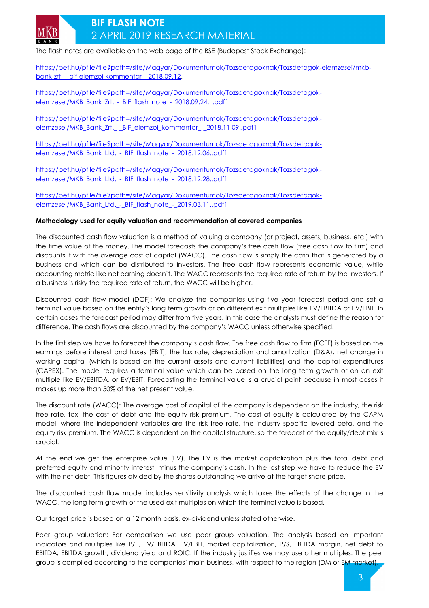

# **BIF FLASH NOTE**  2 APRIL 2019 RESEARCH MATERIAL

The flash notes are available on the web page of the BSE (Budapest Stock Exchange):

https://bet.hu/pfile/file?path=/site/Magyar/Dokumentumok/Tozsdetagoknak/Tozsdetagok-elemzesei/mkbbank-zrt.---bif-elemzoi-kommentar---2018.09.12.

https://bet.hu/pfile/file?path=/site/Magyar/Dokumentumok/Tozsdetagoknak/Tozsdetagokelemzesei/MKB\_Bank\_Zrt. - BIF\_flash\_note\_-\_2018.09.24.\_.pdf1

https://bet.hu/pfile/file?path=/site/Magyar/Dokumentumok/Tozsdetagoknak/Tozsdetagokelemzesei/MKB\_Bank\_Zrt.\_-\_BIF\_elemzoi\_kommentar\_-\_2018.11.09..pdf1

https://bet.hu/pfile/file?path=/site/Magyar/Dokumentumok/Tozsdetagoknak/Tozsdetagokelemzesei/MKB\_Bank\_Ltd. - BIF\_flash\_note\_-\_2018.12.06..pdf1

https://bet.hu/pfile/file?path=/site/Magyar/Dokumentumok/Tozsdetagoknak/Tozsdetagokelemzesei/MKB\_Bank\_Ltd. - BIF\_flash\_note\_-\_2018.12.28..pdf1

https://bet.hu/pfile/file?path=/site/Magyar/Dokumentumok/Tozsdetagoknak/Tozsdetagokelemzesei/MKB\_Bank\_Ltd. - BIF\_flash\_note\_-\_2019.03.11..pdf1

### **Methodology used for equity valuation and recommendation of covered companies**

The discounted cash flow valuation is a method of valuing a company (or project, assets, business, etc.) with the time value of the money. The model forecasts the company's free cash flow (free cash flow to firm) and discounts it with the average cost of capital (WACC). The cash flow is simply the cash that is generated by a business and which can be distributed to investors. The free cash flow represents economic value, while accounting metric like net earning doesn't. The WACC represents the required rate of return by the investors. If a business is risky the required rate of return, the WACC will be higher.

Discounted cash flow model (DCF): We analyze the companies using five year forecast period and set a terminal value based on the entity's long term growth or on different exit multiples like EV/EBITDA or EV/EBIT. In certain cases the forecast period may differ from five years. In this case the analysts must define the reason for difference. The cash flows are discounted by the company's WACC unless otherwise specified.

In the first step we have to forecast the company's cash flow. The free cash flow to firm (FCFF) is based on the earnings before interest and taxes (EBIT), the tax rate, depreciation and amortization (D&A), net change in working capital (which is based on the current assets and current liabilities) and the capital expenditures (CAPEX). The model requires a terminal value which can be based on the long term growth or on an exit multiple like EV/EBITDA, or EV/EBIT. Forecasting the terminal value is a crucial point because in most cases it makes up more than 50% of the net present value.

The discount rate (WACC): The average cost of capital of the company is dependent on the industry, the risk free rate, tax, the cost of debt and the equity risk premium. The cost of equity is calculated by the CAPM model, where the independent variables are the risk free rate, the industry specific levered beta, and the equity risk premium. The WACC is dependent on the capital structure, so the forecast of the equity/debt mix is crucial.

At the end we get the enterprise value (EV). The EV is the market capitalization plus the total debt and preferred equity and minority interest, minus the company's cash. In the last step we have to reduce the EV with the net debt. This figures divided by the shares outstanding we arrive at the target share price.

The discounted cash flow model includes sensitivity analysis which takes the effects of the change in the WACC, the long term growth or the used exit multiples on which the terminal value is based.

Our target price is based on a 12 month basis, ex-dividend unless stated otherwise.

Peer group valuation: For comparison we use peer group valuation. The analysis based on important indicators and multiples like P/E, EV/EBITDA, EV/EBIT, market capitalization, P/S, EBITDA margin, net debt to EBITDA, EBITDA growth, dividend yield and ROIC. If the industry justifies we may use other multiples. The peer group is compiled according to the companies' main business, with respect to the region (DM or EM market).